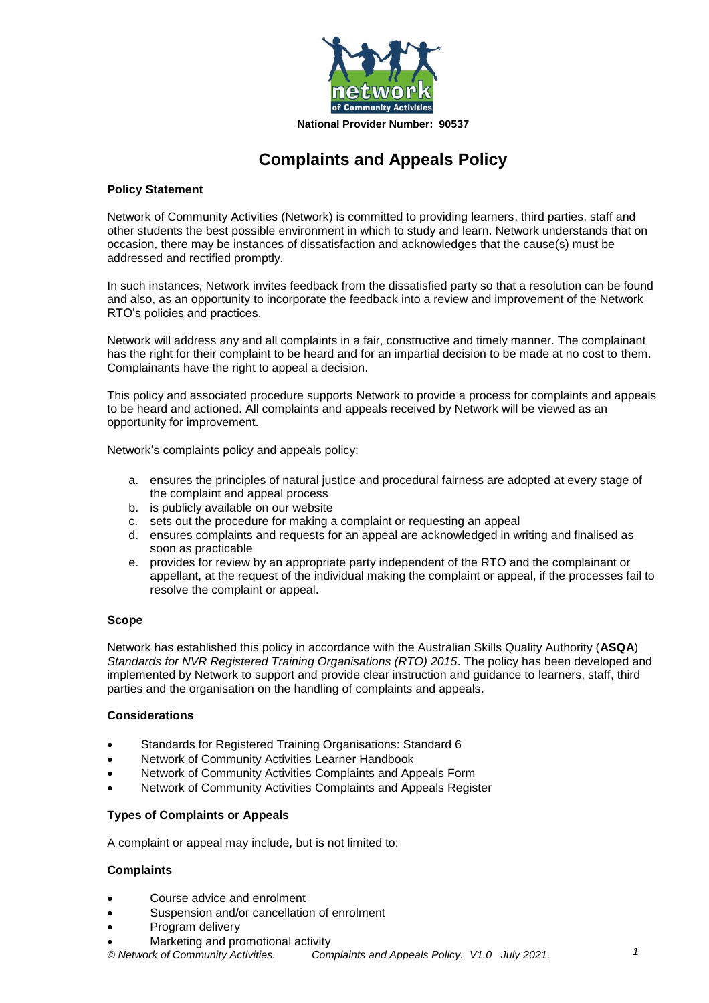

# **Complaints and Appeals Policy**

### **Policy Statement**

Network of Community Activities (Network) is committed to providing learners, third parties, staff and other students the best possible environment in which to study and learn. Network understands that on occasion, there may be instances of dissatisfaction and acknowledges that the cause(s) must be addressed and rectified promptly.

In such instances, Network invites feedback from the dissatisfied party so that a resolution can be found and also, as an opportunity to incorporate the feedback into a review and improvement of the Network RTO's policies and practices.

Network will address any and all complaints in a fair, constructive and timely manner. The complainant has the right for their complaint to be heard and for an impartial decision to be made at no cost to them. Complainants have the right to appeal a decision.

This policy and associated procedure supports Network to provide a process for complaints and appeals to be heard and actioned. All complaints and appeals received by Network will be viewed as an opportunity for improvement.

Network's complaints policy and appeals policy:

- a. ensures the principles of natural justice and procedural fairness are adopted at every stage of the complaint and appeal process
- b. is publicly available on our website
- c. sets out the procedure for making a complaint or requesting an appeal
- d. ensures complaints and requests for an appeal are acknowledged in writing and finalised as soon as practicable
- e. provides for review by an appropriate party independent of the RTO and the complainant or appellant, at the request of the individual making the complaint or appeal, if the processes fail to resolve the complaint or appeal.

#### **Scope**

Network has established this policy in accordance with the Australian Skills Quality Authority (**ASQA**) *Standards for NVR Registered Training Organisations (RTO) 2015*. The policy has been developed and implemented by Network to support and provide clear instruction and guidance to learners, staff, third parties and the organisation on the handling of complaints and appeals.

#### **Considerations**

- Standards for Registered Training Organisations: Standard 6
- Network of Community Activities Learner Handbook
- Network of Community Activities Complaints and Appeals Form
- Network of Community Activities Complaints and Appeals Register

#### **Types of Complaints or Appeals**

A complaint or appeal may include, but is not limited to:

#### **Complaints**

- Course advice and enrolment
- Suspension and/or cancellation of enrolment
- Program delivery
- Marketing and promotional activity

*© Network of Community Activities. Complaints and Appeals Policy. V1.0 July 2021.*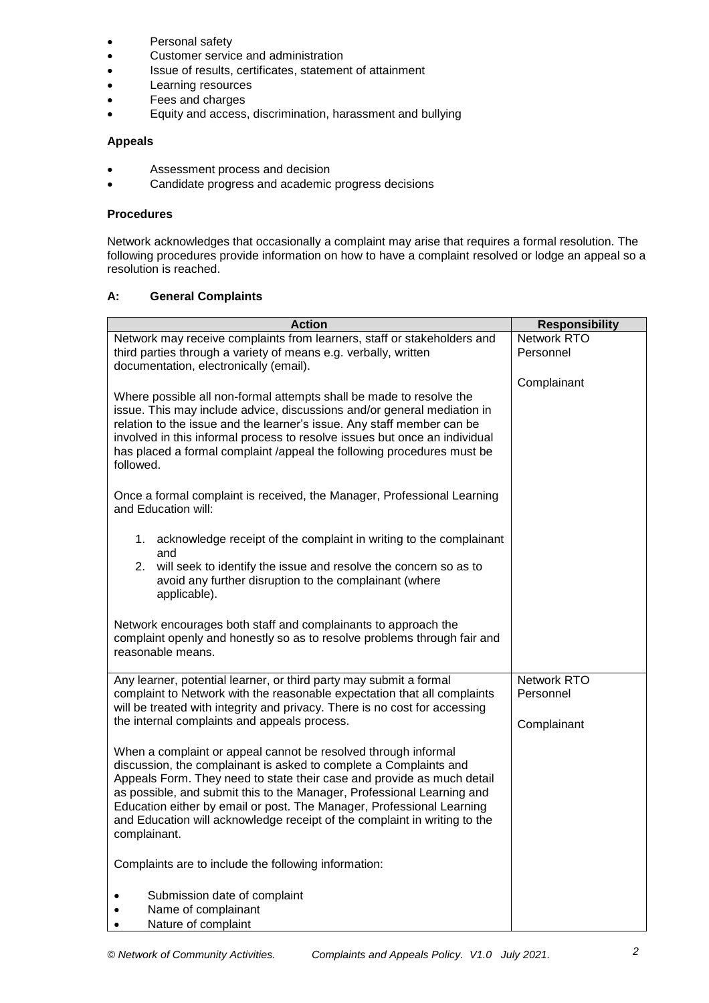- Personal safety
- Customer service and administration
- Issue of results, certificates, statement of attainment
- Learning resources
- Fees and charges
- Equity and access, discrimination, harassment and bullying

#### **Appeals**

- Assessment process and decision
- Candidate progress and academic progress decisions

#### **Procedures**

Network acknowledges that occasionally a complaint may arise that requires a formal resolution. The following procedures provide information on how to have a complaint resolved or lodge an appeal so a resolution is reached.

### **A: General Complaints**

| <b>Action</b>                                                                                                                                        | <b>Responsibility</b> |  |
|------------------------------------------------------------------------------------------------------------------------------------------------------|-----------------------|--|
| Network may receive complaints from learners, staff or stakeholders and                                                                              | <b>Network RTO</b>    |  |
| third parties through a variety of means e.g. verbally, written<br>documentation, electronically (email).                                            | Personnel             |  |
|                                                                                                                                                      | Complainant           |  |
| Where possible all non-formal attempts shall be made to resolve the                                                                                  |                       |  |
| issue. This may include advice, discussions and/or general mediation in                                                                              |                       |  |
| relation to the issue and the learner's issue. Any staff member can be<br>involved in this informal process to resolve issues but once an individual |                       |  |
| has placed a formal complaint /appeal the following procedures must be                                                                               |                       |  |
| followed.                                                                                                                                            |                       |  |
| Once a formal complaint is received, the Manager, Professional Learning                                                                              |                       |  |
| and Education will:                                                                                                                                  |                       |  |
|                                                                                                                                                      |                       |  |
| 1. acknowledge receipt of the complaint in writing to the complainant<br>and                                                                         |                       |  |
| will seek to identify the issue and resolve the concern so as to<br>2.                                                                               |                       |  |
| avoid any further disruption to the complainant (where                                                                                               |                       |  |
| applicable).                                                                                                                                         |                       |  |
| Network encourages both staff and complainants to approach the                                                                                       |                       |  |
| complaint openly and honestly so as to resolve problems through fair and                                                                             |                       |  |
| reasonable means.                                                                                                                                    |                       |  |
| Any learner, potential learner, or third party may submit a formal                                                                                   | Network RTO           |  |
| complaint to Network with the reasonable expectation that all complaints                                                                             | Personnel             |  |
| will be treated with integrity and privacy. There is no cost for accessing<br>the internal complaints and appeals process.                           | Complainant           |  |
|                                                                                                                                                      |                       |  |
| When a complaint or appeal cannot be resolved through informal                                                                                       |                       |  |
| discussion, the complainant is asked to complete a Complaints and<br>Appeals Form. They need to state their case and provide as much detail          |                       |  |
| as possible, and submit this to the Manager, Professional Learning and                                                                               |                       |  |
| Education either by email or post. The Manager, Professional Learning                                                                                |                       |  |
| and Education will acknowledge receipt of the complaint in writing to the<br>complainant.                                                            |                       |  |
|                                                                                                                                                      |                       |  |
| Complaints are to include the following information:                                                                                                 |                       |  |
|                                                                                                                                                      |                       |  |
| Submission date of complaint<br>Name of complainant                                                                                                  |                       |  |
| Nature of complaint<br>$\bullet$                                                                                                                     |                       |  |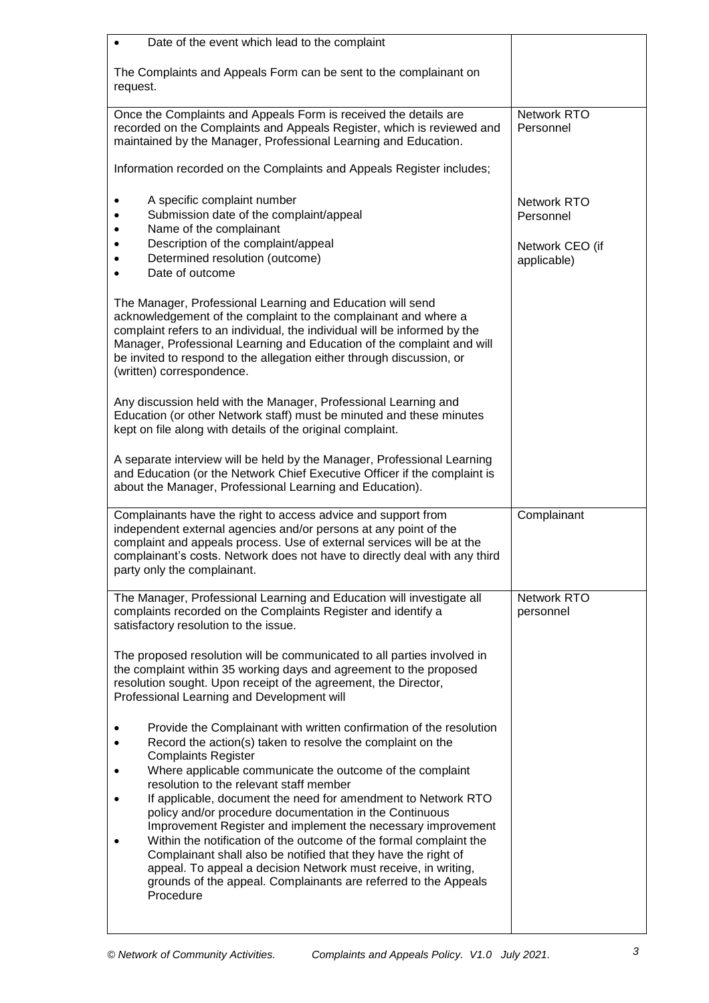| Date of the event which lead to the complaint<br>$\bullet$                                                                                                                                                                                                                                                                                                                                 |                                 |
|--------------------------------------------------------------------------------------------------------------------------------------------------------------------------------------------------------------------------------------------------------------------------------------------------------------------------------------------------------------------------------------------|---------------------------------|
| The Complaints and Appeals Form can be sent to the complainant on<br>request.                                                                                                                                                                                                                                                                                                              |                                 |
| Once the Complaints and Appeals Form is received the details are<br>recorded on the Complaints and Appeals Register, which is reviewed and<br>maintained by the Manager, Professional Learning and Education.                                                                                                                                                                              | Network RTO<br>Personnel        |
| Information recorded on the Complaints and Appeals Register includes;                                                                                                                                                                                                                                                                                                                      |                                 |
| A specific complaint number<br>$\bullet$<br>Submission date of the complaint/appeal<br>$\bullet$<br>Name of the complainant<br>$\bullet$                                                                                                                                                                                                                                                   | <b>Network RTO</b><br>Personnel |
| Description of the complaint/appeal<br>Determined resolution (outcome)<br>Date of outcome                                                                                                                                                                                                                                                                                                  | Network CEO (if<br>applicable)  |
| The Manager, Professional Learning and Education will send<br>acknowledgement of the complaint to the complainant and where a<br>complaint refers to an individual, the individual will be informed by the<br>Manager, Professional Learning and Education of the complaint and will<br>be invited to respond to the allegation either through discussion, or<br>(written) correspondence. |                                 |
| Any discussion held with the Manager, Professional Learning and<br>Education (or other Network staff) must be minuted and these minutes<br>kept on file along with details of the original complaint.                                                                                                                                                                                      |                                 |
| A separate interview will be held by the Manager, Professional Learning<br>and Education (or the Network Chief Executive Officer if the complaint is<br>about the Manager, Professional Learning and Education).                                                                                                                                                                           |                                 |
| Complainants have the right to access advice and support from<br>independent external agencies and/or persons at any point of the<br>complaint and appeals process. Use of external services will be at the<br>complainant's costs. Network does not have to directly deal with any third<br>party only the complainant.                                                                   | Complainant                     |
| The Manager, Professional Learning and Education will investigate all<br>complaints recorded on the Complaints Register and identify a<br>satisfactory resolution to the issue.                                                                                                                                                                                                            | Network RTO<br>personnel        |
| The proposed resolution will be communicated to all parties involved in<br>the complaint within 35 working days and agreement to the proposed<br>resolution sought. Upon receipt of the agreement, the Director,<br>Professional Learning and Development will                                                                                                                             |                                 |
| Provide the Complainant with written confirmation of the resolution<br>Record the action(s) taken to resolve the complaint on the<br><b>Complaints Register</b><br>Where applicable communicate the outcome of the complaint                                                                                                                                                               |                                 |
| resolution to the relevant staff member<br>If applicable, document the need for amendment to Network RTO<br>policy and/or procedure documentation in the Continuous                                                                                                                                                                                                                        |                                 |
| Improvement Register and implement the necessary improvement<br>Within the notification of the outcome of the formal complaint the<br>Complainant shall also be notified that they have the right of<br>appeal. To appeal a decision Network must receive, in writing,<br>grounds of the appeal. Complainants are referred to the Appeals<br>Procedure                                     |                                 |
|                                                                                                                                                                                                                                                                                                                                                                                            |                                 |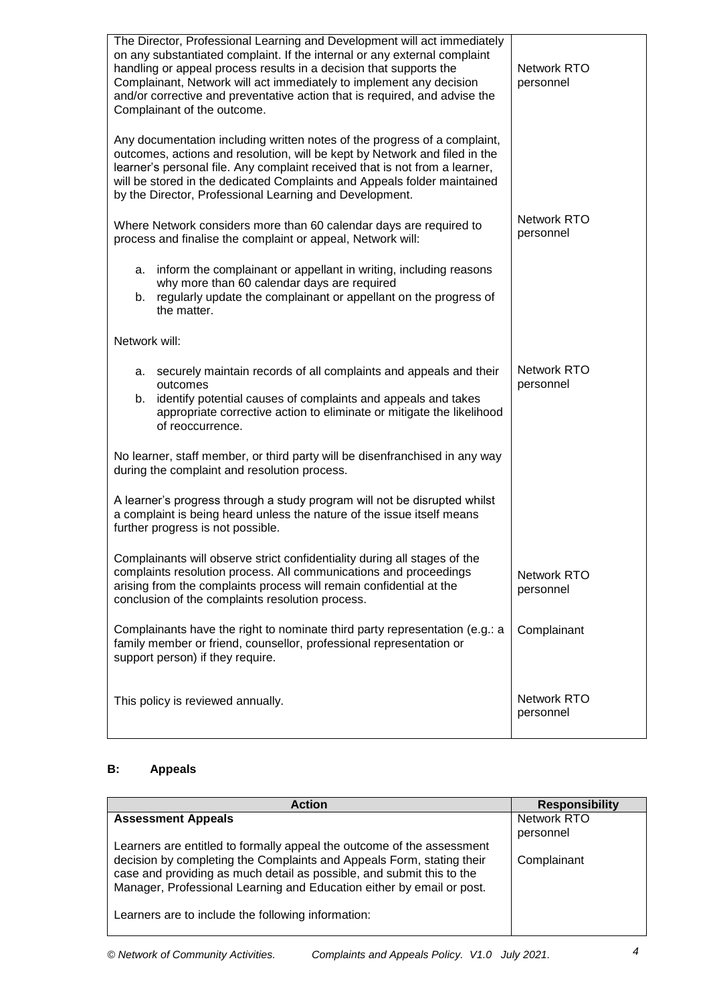| The Director, Professional Learning and Development will act immediately<br>on any substantiated complaint. If the internal or any external complaint<br>handling or appeal process results in a decision that supports the<br>Complainant, Network will act immediately to implement any decision<br>and/or corrective and preventative action that is required, and advise the<br>Complainant of the outcome. | Network RTO<br>personnel |
|-----------------------------------------------------------------------------------------------------------------------------------------------------------------------------------------------------------------------------------------------------------------------------------------------------------------------------------------------------------------------------------------------------------------|--------------------------|
| Any documentation including written notes of the progress of a complaint,<br>outcomes, actions and resolution, will be kept by Network and filed in the<br>learner's personal file. Any complaint received that is not from a learner,<br>will be stored in the dedicated Complaints and Appeals folder maintained<br>by the Director, Professional Learning and Development.                                   |                          |
| Where Network considers more than 60 calendar days are required to<br>process and finalise the complaint or appeal, Network will:                                                                                                                                                                                                                                                                               | Network RTO<br>personnel |
| a. inform the complainant or appellant in writing, including reasons<br>why more than 60 calendar days are required<br>regularly update the complainant or appellant on the progress of<br>b.<br>the matter.                                                                                                                                                                                                    |                          |
| Network will:                                                                                                                                                                                                                                                                                                                                                                                                   |                          |
| securely maintain records of all complaints and appeals and their<br>а.<br>outcomes<br>identify potential causes of complaints and appeals and takes<br>b.<br>appropriate corrective action to eliminate or mitigate the likelihood<br>of reoccurrence.                                                                                                                                                         | Network RTO<br>personnel |
| No learner, staff member, or third party will be disenfranchised in any way<br>during the complaint and resolution process.                                                                                                                                                                                                                                                                                     |                          |
| A learner's progress through a study program will not be disrupted whilst<br>a complaint is being heard unless the nature of the issue itself means<br>further progress is not possible.                                                                                                                                                                                                                        |                          |
| Complainants will observe strict confidentiality during all stages of the<br>complaints resolution process. All communications and proceedings<br>arising from the complaints process will remain confidential at the<br>conclusion of the complaints resolution process.                                                                                                                                       | Network RTO<br>personnel |
| Complainants have the right to nominate third party representation (e.g.: a<br>family member or friend, counsellor, professional representation or<br>support person) if they require.                                                                                                                                                                                                                          | Complainant              |
| This policy is reviewed annually.                                                                                                                                                                                                                                                                                                                                                                               | Network RTO<br>personnel |

## **B: Appeals**

| <b>Action</b>                                                                                                                                                                                                           | <b>Responsibility</b> |
|-------------------------------------------------------------------------------------------------------------------------------------------------------------------------------------------------------------------------|-----------------------|
| <b>Assessment Appeals</b>                                                                                                                                                                                               | Network RTO           |
|                                                                                                                                                                                                                         | personnel             |
| Learners are entitled to formally appeal the outcome of the assessment                                                                                                                                                  |                       |
| decision by completing the Complaints and Appeals Form, stating their<br>case and providing as much detail as possible, and submit this to the<br>Manager, Professional Learning and Education either by email or post. | Complainant           |
| Learners are to include the following information:                                                                                                                                                                      |                       |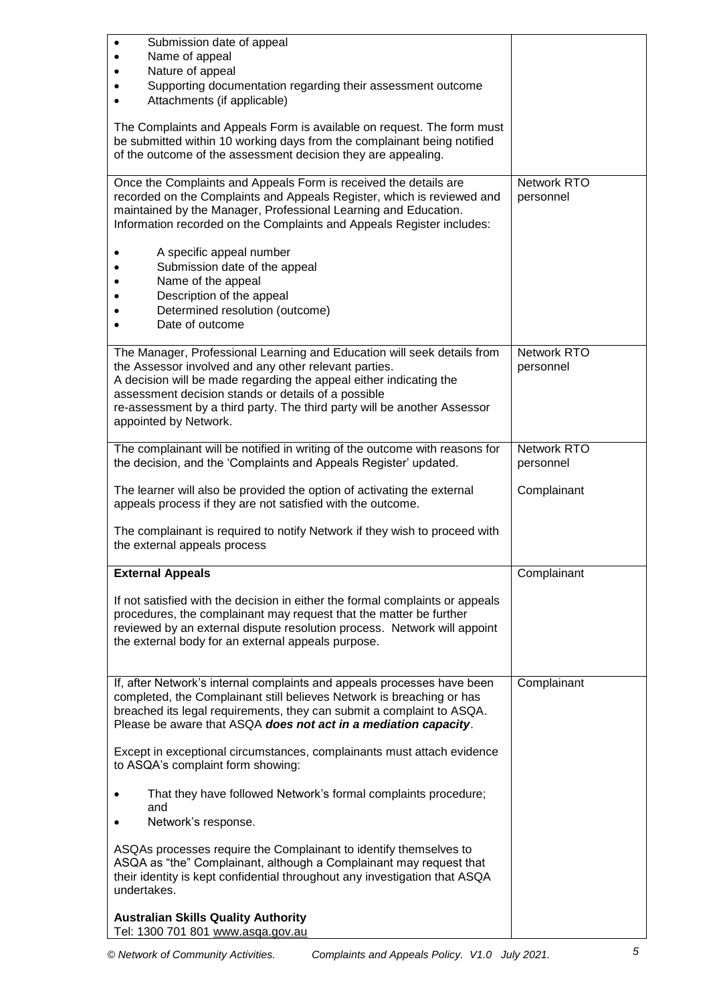| Submission date of appeal<br>$\bullet$<br>Name of appeal<br>$\bullet$                                                                                                                                                                                                                                                                                              |                                 |
|--------------------------------------------------------------------------------------------------------------------------------------------------------------------------------------------------------------------------------------------------------------------------------------------------------------------------------------------------------------------|---------------------------------|
| Nature of appeal                                                                                                                                                                                                                                                                                                                                                   |                                 |
| Supporting documentation regarding their assessment outcome<br>Attachments (if applicable)                                                                                                                                                                                                                                                                         |                                 |
| The Complaints and Appeals Form is available on request. The form must<br>be submitted within 10 working days from the complainant being notified<br>of the outcome of the assessment decision they are appealing.                                                                                                                                                 |                                 |
| Once the Complaints and Appeals Form is received the details are<br>recorded on the Complaints and Appeals Register, which is reviewed and<br>maintained by the Manager, Professional Learning and Education.<br>Information recorded on the Complaints and Appeals Register includes:                                                                             | <b>Network RTO</b><br>personnel |
| A specific appeal number<br>Submission date of the appeal<br>Name of the appeal<br>Description of the appeal<br>Determined resolution (outcome)<br>Date of outcome                                                                                                                                                                                                 |                                 |
| The Manager, Professional Learning and Education will seek details from<br>the Assessor involved and any other relevant parties.<br>A decision will be made regarding the appeal either indicating the<br>assessment decision stands or details of a possible<br>re-assessment by a third party. The third party will be another Assessor<br>appointed by Network. | <b>Network RTO</b><br>personnel |
| The complainant will be notified in writing of the outcome with reasons for<br>the decision, and the 'Complaints and Appeals Register' updated.                                                                                                                                                                                                                    | <b>Network RTO</b><br>personnel |
| The learner will also be provided the option of activating the external<br>appeals process if they are not satisfied with the outcome.                                                                                                                                                                                                                             | Complainant                     |
| The complainant is required to notify Network if they wish to proceed with<br>the external appeals process                                                                                                                                                                                                                                                         |                                 |
| <b>External Appeals</b>                                                                                                                                                                                                                                                                                                                                            | Complainant                     |
| If not satisfied with the decision in either the formal complaints or appeals<br>procedures, the complainant may request that the matter be further<br>reviewed by an external dispute resolution process. Network will appoint<br>the external body for an external appeals purpose.                                                                              |                                 |
| If, after Network's internal complaints and appeals processes have been<br>completed, the Complainant still believes Network is breaching or has<br>breached its legal requirements, they can submit a complaint to ASQA.<br>Please be aware that ASQA does not act in a mediation capacity.                                                                       | Complainant                     |
| Except in exceptional circumstances, complainants must attach evidence<br>to ASQA's complaint form showing:                                                                                                                                                                                                                                                        |                                 |
| That they have followed Network's formal complaints procedure;<br>$\bullet$<br>and                                                                                                                                                                                                                                                                                 |                                 |
| Network's response.                                                                                                                                                                                                                                                                                                                                                |                                 |
| ASQAs processes require the Complainant to identify themselves to<br>ASQA as "the" Complainant, although a Complainant may request that<br>their identity is kept confidential throughout any investigation that ASQA<br>undertakes.                                                                                                                               |                                 |
| <b>Australian Skills Quality Authority</b><br>Tel: 1300 701 801 www.asqa.gov.au                                                                                                                                                                                                                                                                                    |                                 |